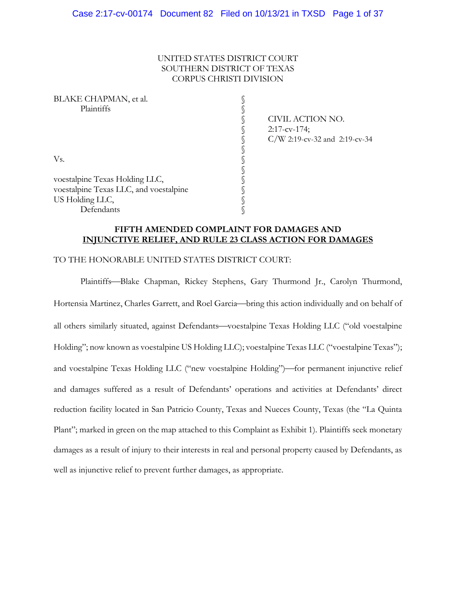### UNITED STATES DISTRICT COURT SOUTHERN DISTRICT OF TEXAS CORPUS CHRISTI DIVISION

§ CIVIL ACTION NO.  $2:17$ -cv-174; § C/W 2:19-cv-32 and 2:19-cv-34

### **FIFTH AMENDED COMPLAINT FOR DAMAGES AND INJUNCTIVE RELIEF, AND RULE 23 CLASS ACTION FOR DAMAGES**

#### TO THE HONORABLE UNITED STATES DISTRICT COURT:

Plaintiffs—Blake Chapman, Rickey Stephens, Gary Thurmond Jr., Carolyn Thurmond, Hortensia Martinez, Charles Garrett, and Roel Garcia—bring this action individually and on behalf of all others similarly situated, against Defendants—voestalpine Texas Holding LLC ("old voestalpine Holding"; now known as voestalpine US Holding LLC); voestalpine Texas LLC ("voestalpine Texas"); and voestalpine Texas Holding LLC ("new voestalpine Holding")—for permanent injunctive relief and damages suffered as a result of Defendants' operations and activities at Defendants' direct reduction facility located in San Patricio County, Texas and Nueces County, Texas (the "La Quinta Plant"; marked in green on the map attached to this Complaint as Exhibit 1). Plaintiffs seek monetary damages as a result of injury to their interests in real and personal property caused by Defendants, as well as injunctive relief to prevent further damages, as appropriate.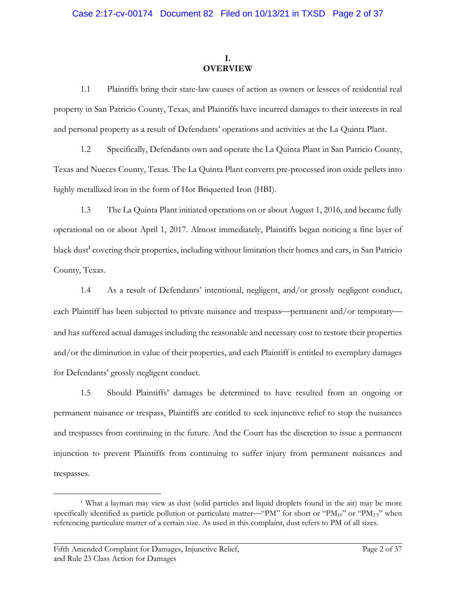# **I. OVERVIEW**

1.1 Plaintiffs bring their state-law causes of action as owners or lessees of residential real property in San Patricio County, Texas, and Plaintiffs have incurred damages to their interests in real and personal property as a result of Defendants' operations and activities at the La Quinta Plant.

1.2 Specifically, Defendants own and operate the La Quinta Plant in San Patricio County, Texas and Nueces County, Texas. The La Quinta Plant converts pre-processed iron oxide pellets into highly metallized iron in the form of Hot Briquetted Iron (HBI).

1.3 The La Quinta Plant initiated operations on or about August 1, 2016, and became fully operational on or about April 1, 2017. Almost immediately, Plaintiffs began noticing a fine layer of black dust<sup>1</sup> covering their properties, including without limitation their homes and cars, in San Patricio County, Texas.

1.4 As a result of Defendants' intentional, negligent, and/or grossly negligent conduct, each Plaintiff has been subjected to private nuisance and trespass—permanent and/or temporary and has suffered actual damages including the reasonable and necessary cost to restore their properties and/or the diminution in value of their properties, and each Plaintiff is entitled to exemplary damages for Defendants' grossly negligent conduct.

1.5 Should Plaintiffs' damages be determined to have resulted from an ongoing or permanent nuisance or trespass, Plaintiffs are entitled to seek injunctive relief to stop the nuisances and trespasses from continuing in the future. And the Court has the discretion to issue a permanent injunction to prevent Plaintiffs from continuing to suffer injury from permanent nuisances and trespasses.

<sup>1</sup> What a layman may view as dust (solid particles and liquid droplets found in the air) may be more specifically identified as particle pollution or particulate matter—"PM" for short or "PM<sub>10</sub>" or "PM<sub>2.5</sub>" when referencing particulate matter of a certain size. As used in this complaint, dust refers to PM of all sizes.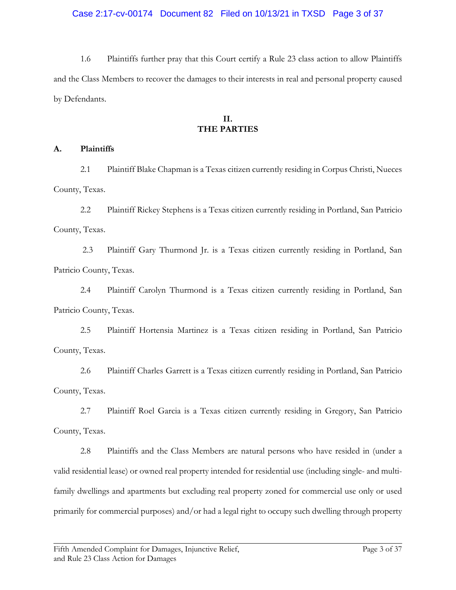1.6 Plaintiffs further pray that this Court certify a Rule 23 class action to allow Plaintiffs and the Class Members to recover the damages to their interests in real and personal property caused by Defendants.

# **II. THE PARTIES**

# **A. Plaintiffs**

2.1 Plaintiff Blake Chapman is a Texas citizen currently residing in Corpus Christi, Nueces County, Texas.

2.2 Plaintiff Rickey Stephens is a Texas citizen currently residing in Portland, San Patricio County, Texas.

2.3 Plaintiff Gary Thurmond Jr. is a Texas citizen currently residing in Portland, San Patricio County, Texas.

2.4 Plaintiff Carolyn Thurmond is a Texas citizen currently residing in Portland, San Patricio County, Texas.

2.5 Plaintiff Hortensia Martinez is a Texas citizen residing in Portland, San Patricio County, Texas.

2.6 Plaintiff Charles Garrett is a Texas citizen currently residing in Portland, San Patricio County, Texas.

2.7 Plaintiff Roel Garcia is a Texas citizen currently residing in Gregory, San Patricio County, Texas.

2.8 Plaintiffs and the Class Members are natural persons who have resided in (under a valid residential lease) or owned real property intended for residential use (including single- and multifamily dwellings and apartments but excluding real property zoned for commercial use only or used primarily for commercial purposes) and/or had a legal right to occupy such dwelling through property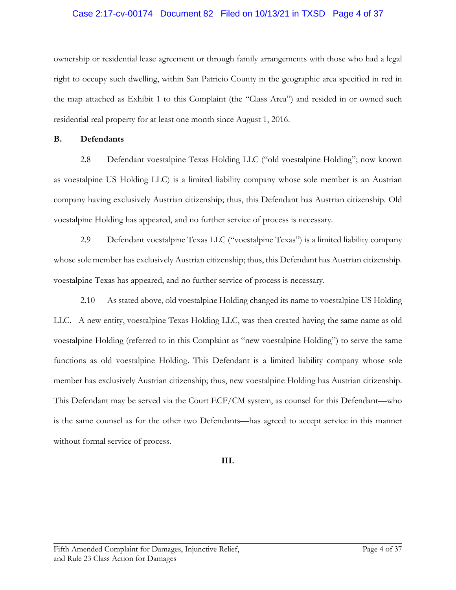### Case 2:17-cv-00174 Document 82 Filed on 10/13/21 in TXSD Page 4 of 37

ownership or residential lease agreement or through family arrangements with those who had a legal right to occupy such dwelling, within San Patricio County in the geographic area specified in red in the map attached as Exhibit 1 to this Complaint (the "Class Area") and resided in or owned such residential real property for at least one month since August 1, 2016.

#### **B. Defendants**

2.8 Defendant voestalpine Texas Holding LLC ("old voestalpine Holding"; now known as voestalpine US Holding LLC) is a limited liability company whose sole member is an Austrian company having exclusively Austrian citizenship; thus, this Defendant has Austrian citizenship. Old voestalpine Holding has appeared, and no further service of process is necessary.

2.9 Defendant voestalpine Texas LLC ("voestalpine Texas") is a limited liability company whose sole member has exclusively Austrian citizenship; thus, this Defendant has Austrian citizenship. voestalpine Texas has appeared, and no further service of process is necessary.

2.10 As stated above, old voestalpine Holding changed its name to voestalpine US Holding LLC. A new entity, voestalpine Texas Holding LLC, was then created having the same name as old voestalpine Holding (referred to in this Complaint as "new voestalpine Holding") to serve the same functions as old voestalpine Holding. This Defendant is a limited liability company whose sole member has exclusively Austrian citizenship; thus, new voestalpine Holding has Austrian citizenship. This Defendant may be served via the Court ECF/CM system, as counsel for this Defendant—who is the same counsel as for the other two Defendants—has agreed to accept service in this manner without formal service of process.

## **III.**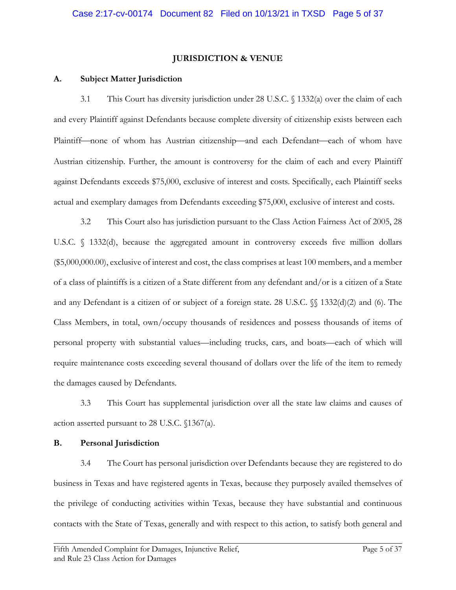### **JURISDICTION & VENUE**

## **A. Subject Matter Jurisdiction**

3.1 This Court has diversity jurisdiction under 28 U.S.C. § 1332(a) over the claim of each and every Plaintiff against Defendants because complete diversity of citizenship exists between each Plaintiff—none of whom has Austrian citizenship—and each Defendant—each of whom have Austrian citizenship. Further, the amount is controversy for the claim of each and every Plaintiff against Defendants exceeds \$75,000, exclusive of interest and costs. Specifically, each Plaintiff seeks actual and exemplary damages from Defendants exceeding \$75,000, exclusive of interest and costs.

3.2 This Court also has jurisdiction pursuant to the Class Action Fairness Act of 2005, 28 U.S.C. § 1332(d), because the aggregated amount in controversy exceeds five million dollars (\$5,000,000.00), exclusive of interest and cost, the class comprises at least 100 members, and a member of a class of plaintiffs is a citizen of a State different from any defendant and/or is a citizen of a State and any Defendant is a citizen of or subject of a foreign state. 28 U.S.C. §§ 1332(d)(2) and (6). The Class Members, in total, own/occupy thousands of residences and possess thousands of items of personal property with substantial values—including trucks, cars, and boats—each of which will require maintenance costs exceeding several thousand of dollars over the life of the item to remedy the damages caused by Defendants.

3.3 This Court has supplemental jurisdiction over all the state law claims and causes of action asserted pursuant to 28 U.S.C. §1367(a).

## **B. Personal Jurisdiction**

3.4 The Court has personal jurisdiction over Defendants because they are registered to do business in Texas and have registered agents in Texas, because they purposely availed themselves of the privilege of conducting activities within Texas, because they have substantial and continuous contacts with the State of Texas, generally and with respect to this action, to satisfy both general and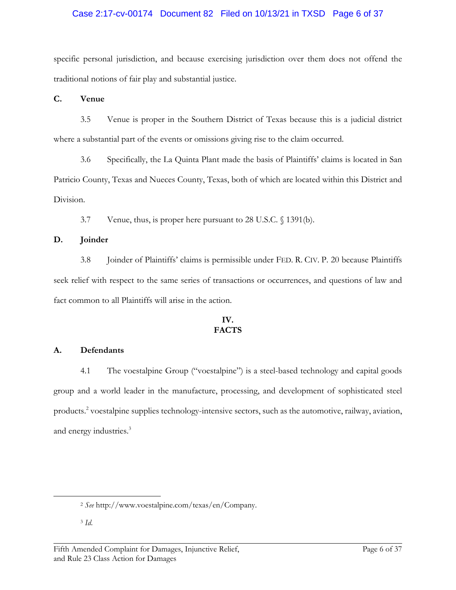## Case 2:17-cv-00174 Document 82 Filed on 10/13/21 in TXSD Page 6 of 37

specific personal jurisdiction, and because exercising jurisdiction over them does not offend the traditional notions of fair play and substantial justice.

**C. Venue**

3.5 Venue is proper in the Southern District of Texas because this is a judicial district where a substantial part of the events or omissions giving rise to the claim occurred.

3.6 Specifically, the La Quinta Plant made the basis of Plaintiffs' claims is located in San Patricio County, Texas and Nueces County, Texas, both of which are located within this District and Division.

3.7 Venue, thus, is proper here pursuant to 28 U.S.C. § 1391(b).

## **D. Joinder**

3.8 Joinder of Plaintiffs' claims is permissible under FED. R. CIV. P. 20 because Plaintiffs seek relief with respect to the same series of transactions or occurrences, and questions of law and fact common to all Plaintiffs will arise in the action.

# **IV. FACTS**

## **A. Defendants**

4.1 The voestalpine Group ("voestalpine") is a steel-based technology and capital goods group and a world leader in the manufacture, processing, and development of sophisticated steel products.2 voestalpine supplies technology-intensive sectors, such as the automotive, railway, aviation, and energy industries.<sup>3</sup>

<sup>2</sup> *See* http://www.voestalpine.com/texas/en/Company.

<sup>3</sup> *Id*.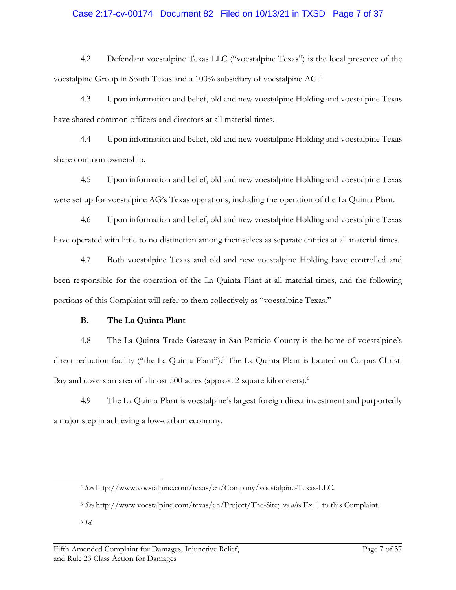### Case 2:17-cv-00174 Document 82 Filed on 10/13/21 in TXSD Page 7 of 37

4.2 Defendant voestalpine Texas LLC ("voestalpine Texas") is the local presence of the voestalpine Group in South Texas and a 100% subsidiary of voestalpine AG.4

4.3 Upon information and belief, old and new voestalpine Holding and voestalpine Texas have shared common officers and directors at all material times.

4.4 Upon information and belief, old and new voestalpine Holding and voestalpine Texas share common ownership.

4.5 Upon information and belief, old and new voestalpine Holding and voestalpine Texas were set up for voestalpine AG's Texas operations, including the operation of the La Quinta Plant.

4.6 Upon information and belief, old and new voestalpine Holding and voestalpine Texas have operated with little to no distinction among themselves as separate entities at all material times.

4.7 Both voestalpine Texas and old and new voestalpine Holding have controlled and been responsible for the operation of the La Quinta Plant at all material times, and the following portions of this Complaint will refer to them collectively as "voestalpine Texas."

## **B. The La Quinta Plant**

4.8 The La Quinta Trade Gateway in San Patricio County is the home of voestalpine's direct reduction facility ("the La Quinta Plant").<sup>5</sup> The La Quinta Plant is located on Corpus Christi Bay and covers an area of almost 500 acres (approx. 2 square kilometers).<sup>6</sup>

4.9 The La Quinta Plant is voestalpine's largest foreign direct investment and purportedly a major step in achieving a low-carbon economy.

<sup>4</sup> *See* http://www.voestalpine.com/texas/en/Company/voestalpine-Texas-LLC.

<sup>5</sup> *See* http://www.voestalpine.com/texas/en/Project/The-Site; *see also* Ex. 1 to this Complaint.

<sup>6</sup> *Id*.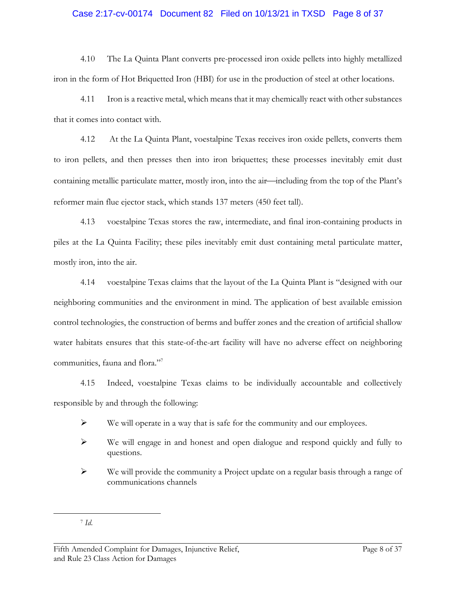#### Case 2:17-cv-00174 Document 82 Filed on 10/13/21 in TXSD Page 8 of 37

4.10 The La Quinta Plant converts pre-processed iron oxide pellets into highly metallized iron in the form of Hot Briquetted Iron (HBI) for use in the production of steel at other locations.

4.11 Iron is a reactive metal, which means that it may chemically react with other substances that it comes into contact with.

4.12 At the La Quinta Plant, voestalpine Texas receives iron oxide pellets, converts them to iron pellets, and then presses then into iron briquettes; these processes inevitably emit dust containing metallic particulate matter, mostly iron, into the air—including from the top of the Plant's reformer main flue ejector stack, which stands 137 meters (450 feet tall).

4.13 voestalpine Texas stores the raw, intermediate, and final iron-containing products in piles at the La Quinta Facility; these piles inevitably emit dust containing metal particulate matter, mostly iron, into the air.

4.14 voestalpine Texas claims that the layout of the La Quinta Plant is "designed with our neighboring communities and the environment in mind. The application of best available emission control technologies, the construction of berms and buffer zones and the creation of artificial shallow water habitats ensures that this state-of-the-art facility will have no adverse effect on neighboring communities, fauna and flora."7

4.15 Indeed, voestalpine Texas claims to be individually accountable and collectively responsible by and through the following:

- $\triangleright$  We will operate in a way that is safe for the community and our employees.
- Ø We will engage in and honest and open dialogue and respond quickly and fully to questions.
- $\triangleright$  We will provide the community a Project update on a regular basis through a range of communications channels

<sup>7</sup> *Id*.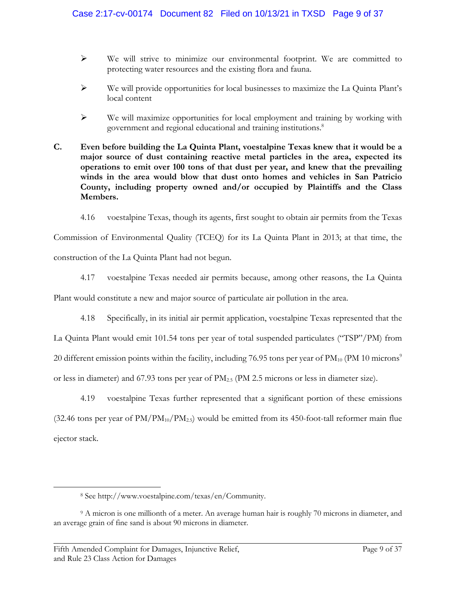- $\triangleright$  We will strive to minimize our environmental footprint. We are committed to protecting water resources and the existing flora and fauna.
- $\triangleright$  We will provide opportunities for local businesses to maximize the La Quinta Plant's local content
- Ø We will maximize opportunities for local employment and training by working with government and regional educational and training institutions.<sup>8</sup>
- **C. Even before building the La Quinta Plant, voestalpine Texas knew that it would be a major source of dust containing reactive metal particles in the area, expected its operations to emit over 100 tons of that dust per year, and knew that the prevailing winds in the area would blow that dust onto homes and vehicles in San Patricio County, including property owned and/or occupied by Plaintiffs and the Class Members.**
	- 4.16 voestalpine Texas, though its agents, first sought to obtain air permits from the Texas

Commission of Environmental Quality (TCEQ) for its La Quinta Plant in 2013; at that time, the construction of the La Quinta Plant had not begun.

- 4.17 voestalpine Texas needed air permits because, among other reasons, the La Quinta Plant would constitute a new and major source of particulate air pollution in the area.
- 4.18 Specifically, in its initial air permit application, voestalpine Texas represented that the La Quinta Plant would emit 101.54 tons per year of total suspended particulates ("TSP"/PM) from 20 different emission points within the facility, including 76.95 tons per year of  $PM_{10}$  (PM 10 microns<sup>9</sup>) or less in diameter) and 67.93 tons per year of PM2.5 (PM 2.5 microns or less in diameter size).
- 4.19 voestalpine Texas further represented that a significant portion of these emissions (32.46 tons per year of  $PM/PM_{10}/PM_{2.5}$ ) would be emitted from its 450-foot-tall reformer main flue ejector stack.

<sup>8</sup> See http://www.voestalpine.com/texas/en/Community.

<sup>9</sup> A micron is one millionth of a meter. An average human hair is roughly 70 microns in diameter, and an average grain of fine sand is about 90 microns in diameter.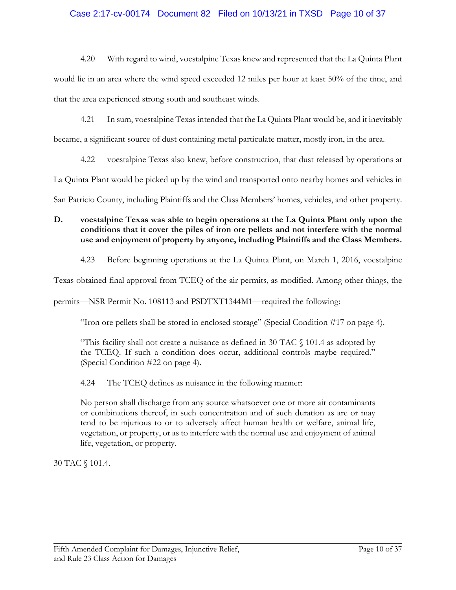## Case 2:17-cv-00174 Document 82 Filed on 10/13/21 in TXSD Page 10 of 37

4.20 With regard to wind, voestalpine Texas knew and represented that the La Quinta Plant would lie in an area where the wind speed exceeded 12 miles per hour at least 50% of the time, and that the area experienced strong south and southeast winds.

4.21 In sum, voestalpine Texas intended that the La Quinta Plant would be, and it inevitably

became, a significant source of dust containing metal particulate matter, mostly iron, in the area.

4.22 voestalpine Texas also knew, before construction, that dust released by operations at

La Quinta Plant would be picked up by the wind and transported onto nearby homes and vehicles in

San Patricio County, including Plaintiffs and the Class Members' homes, vehicles, and other property.

# **D. voestalpine Texas was able to begin operations at the La Quinta Plant only upon the conditions that it cover the piles of iron ore pellets and not interfere with the normal use and enjoyment of property by anyone, including Plaintiffs and the Class Members.**

4.23 Before beginning operations at the La Quinta Plant, on March 1, 2016, voestalpine

Texas obtained final approval from TCEQ of the air permits, as modified. Among other things, the

permits—NSR Permit No. 108113 and PSDTXT1344M1—required the following:

"Iron ore pellets shall be stored in enclosed storage" (Special Condition #17 on page 4).

"This facility shall not create a nuisance as defined in 30 TAC § 101.4 as adopted by the TCEQ. If such a condition does occur, additional controls maybe required." (Special Condition #22 on page 4).

4.24 The TCEQ defines as nuisance in the following manner:

No person shall discharge from any source whatsoever one or more air contaminants or combinations thereof, in such concentration and of such duration as are or may tend to be injurious to or to adversely affect human health or welfare, animal life, vegetation, or property, or as to interfere with the normal use and enjoyment of animal life, vegetation, or property.

30 TAC § 101.4.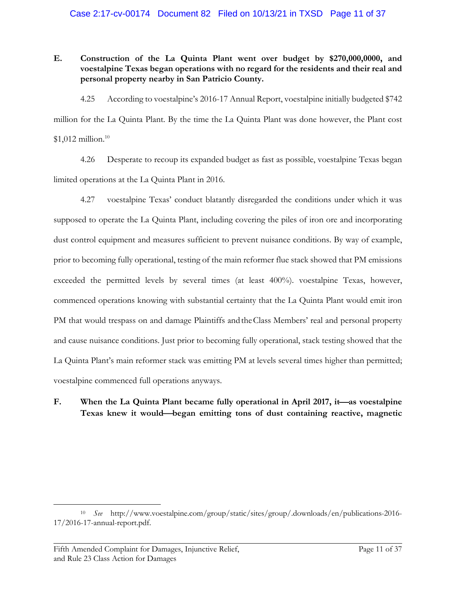# **E. Construction of the La Quinta Plant went over budget by \$270,000,0000, and voestalpine Texas began operations with no regard for the residents and their real and personal property nearby in San Patricio County.**

4.25 According to voestalpine's 2016-17 Annual Report, voestalpine initially budgeted \$742 million for the La Quinta Plant. By the time the La Quinta Plant was done however, the Plant cost  $$1,012$  million.<sup>10</sup>

4.26 Desperate to recoup its expanded budget as fast as possible, voestalpine Texas began limited operations at the La Quinta Plant in 2016.

4.27 voestalpine Texas' conduct blatantly disregarded the conditions under which it was supposed to operate the La Quinta Plant, including covering the piles of iron ore and incorporating dust control equipment and measures sufficient to prevent nuisance conditions. By way of example, prior to becoming fully operational, testing of the main reformer flue stack showed that PM emissions exceeded the permitted levels by several times (at least 400%). voestalpine Texas, however, commenced operations knowing with substantial certainty that the La Quinta Plant would emit iron PM that would trespass on and damage Plaintiffs and the Class Members' real and personal property and cause nuisance conditions. Just prior to becoming fully operational, stack testing showed that the La Quinta Plant's main reformer stack was emitting PM at levels several times higher than permitted; voestalpine commenced full operations anyways.

# **F.** When the La Quinta Plant became fully operational in April 2017, it—as voestalpine Texas knew it would—began emitting tons of dust containing reactive, magnetic

<sup>10</sup> *See* http://www.voestalpine.com/group/static/sites/group/.downloads/en/publications-2016- 17/2016-17-annual-report.pdf.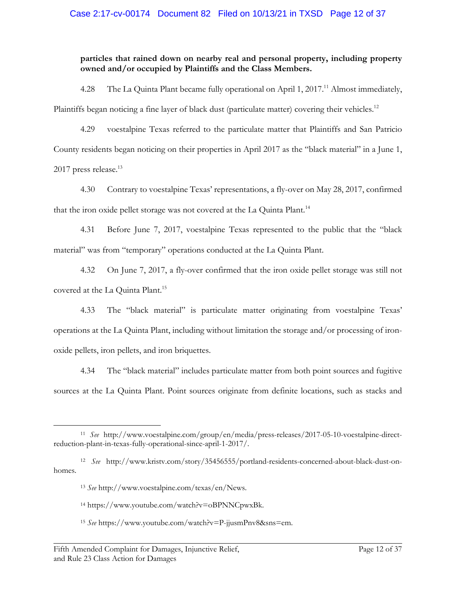## Case 2:17-cv-00174 Document 82 Filed on 10/13/21 in TXSD Page 12 of 37

## **particles that rained down on nearby real and personal property, including property owned and/or occupied by Plaintiffs and the Class Members.**

4.28 The La Quinta Plant became fully operational on April 1, 2017.<sup>11</sup> Almost immediately, Plaintiffs began noticing a fine layer of black dust (particulate matter) covering their vehicles.<sup>12</sup>

4.29 voestalpine Texas referred to the particulate matter that Plaintiffs and San Patricio County residents began noticing on their properties in April 2017 as the "black material" in a June 1, 2017 press release.<sup>13</sup>

4.30 Contrary to voestalpine Texas' representations, a fly-over on May 28, 2017, confirmed that the iron oxide pellet storage was not covered at the La Quinta Plant.<sup>14</sup>

4.31 Before June 7, 2017, voestalpine Texas represented to the public that the "black material" was from "temporary" operations conducted at the La Quinta Plant.

4.32 On June 7, 2017, a fly-over confirmed that the iron oxide pellet storage was still not covered at the La Quinta Plant.<sup>15</sup>

4.33 The "black material" is particulate matter originating from voestalpine Texas' operations at the La Quinta Plant, including without limitation the storage and/or processing of ironoxide pellets, iron pellets, and iron briquettes.

4.34 The "black material" includes particulate matter from both point sources and fugitive sources at the La Quinta Plant. Point sources originate from definite locations, such as stacks and

<sup>15</sup> *See* https://www.youtube.com/watch?v=P-jjusmPnv8&sns=em.

<sup>11</sup> *See* http://www.voestalpine.com/group/en/media/press-releases/2017-05-10-voestalpine-directreduction-plant-in-texas-fully-operational-since-april-1-2017/.

<sup>12</sup> *See* http://www.kristv.com/story/35456555/portland-residents-concerned-about-black-dust-onhomes.

<sup>13</sup> *See* http://www.voestalpine.com/texas/en/News.

<sup>14</sup> https://www.youtube.com/watch?v=oBPNNCpwxBk.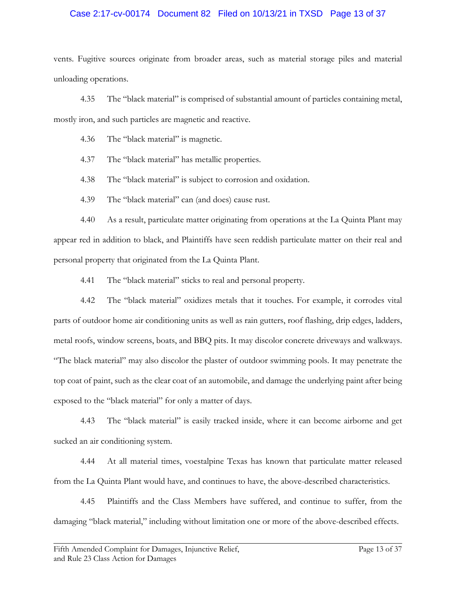### Case 2:17-cv-00174 Document 82 Filed on 10/13/21 in TXSD Page 13 of 37

vents. Fugitive sources originate from broader areas, such as material storage piles and material unloading operations.

4.35 The "black material" is comprised of substantial amount of particles containing metal, mostly iron, and such particles are magnetic and reactive.

4.36 The "black material" is magnetic.

4.37 The "black material" has metallic properties.

4.38 The "black material" is subject to corrosion and oxidation.

4.39 The "black material" can (and does) cause rust.

4.40 As a result, particulate matter originating from operations at the La Quinta Plant may appear red in addition to black, and Plaintiffs have seen reddish particulate matter on their real and personal property that originated from the La Quinta Plant.

4.41 The "black material" sticks to real and personal property.

4.42 The "black material" oxidizes metals that it touches. For example, it corrodes vital parts of outdoor home air conditioning units as well as rain gutters, roof flashing, drip edges, ladders, metal roofs, window screens, boats, and BBQ pits. It may discolor concrete driveways and walkways. "The black material" may also discolor the plaster of outdoor swimming pools. It may penetrate the top coat of paint, such as the clear coat of an automobile, and damage the underlying paint after being exposed to the "black material" for only a matter of days.

4.43 The "black material" is easily tracked inside, where it can become airborne and get sucked an air conditioning system.

4.44 At all material times, voestalpine Texas has known that particulate matter released from the La Quinta Plant would have, and continues to have, the above-described characteristics.

4.45 Plaintiffs and the Class Members have suffered, and continue to suffer, from the damaging "black material," including without limitation one or more of the above-described effects.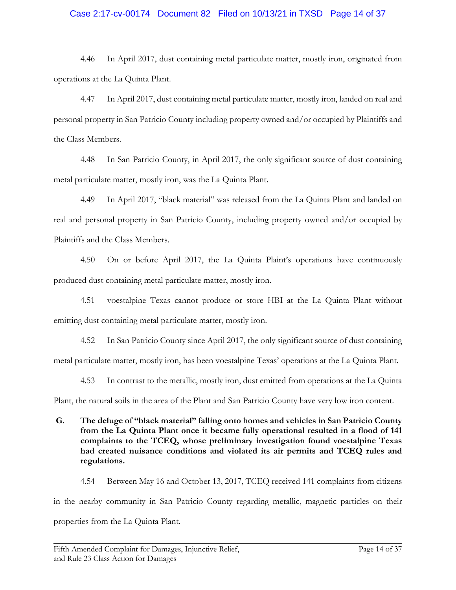### Case 2:17-cv-00174 Document 82 Filed on 10/13/21 in TXSD Page 14 of 37

4.46 In April 2017, dust containing metal particulate matter, mostly iron, originated from operations at the La Quinta Plant.

4.47 In April 2017, dust containing metal particulate matter, mostly iron, landed on real and personal property in San Patricio County including property owned and/or occupied by Plaintiffs and the Class Members.

4.48 In San Patricio County, in April 2017, the only significant source of dust containing metal particulate matter, mostly iron, was the La Quinta Plant.

4.49 In April 2017, "black material" was released from the La Quinta Plant and landed on real and personal property in San Patricio County, including property owned and/or occupied by Plaintiffs and the Class Members.

4.50 On or before April 2017, the La Quinta Plaint's operations have continuously produced dust containing metal particulate matter, mostly iron.

4.51 voestalpine Texas cannot produce or store HBI at the La Quinta Plant without emitting dust containing metal particulate matter, mostly iron.

4.52 In San Patricio County since April 2017, the only significant source of dust containing metal particulate matter, mostly iron, has been voestalpine Texas' operations at the La Quinta Plant.

4.53 In contrast to the metallic, mostly iron, dust emitted from operations at the La Quinta

Plant, the natural soils in the area of the Plant and San Patricio County have very low iron content.

# **G. The deluge of "black material" falling onto homes and vehicles in San Patricio County from the La Quinta Plant once it became fully operational resulted in a flood of 141 complaints to the TCEQ, whose preliminary investigation found voestalpine Texas had created nuisance conditions and violated its air permits and TCEQ rules and regulations.**

4.54 Between May 16 and October 13, 2017, TCEQ received 141 complaints from citizens

in the nearby community in San Patricio County regarding metallic, magnetic particles on their

properties from the La Quinta Plant.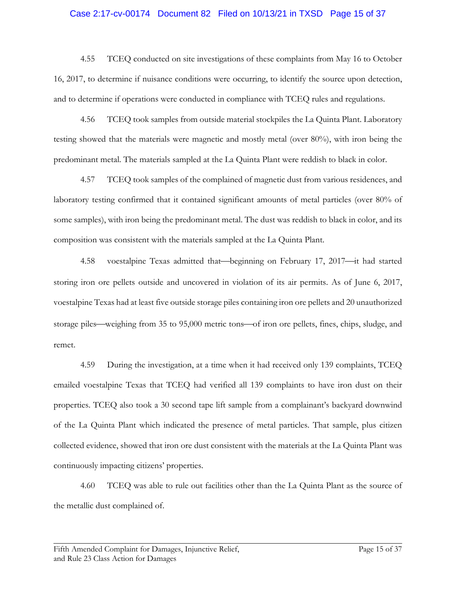#### Case 2:17-cv-00174 Document 82 Filed on 10/13/21 in TXSD Page 15 of 37

4.55 TCEQ conducted on site investigations of these complaints from May 16 to October 16, 2017, to determine if nuisance conditions were occurring, to identify the source upon detection, and to determine if operations were conducted in compliance with TCEQ rules and regulations.

4.56 TCEQ took samples from outside material stockpiles the La Quinta Plant. Laboratory testing showed that the materials were magnetic and mostly metal (over 80%), with iron being the predominant metal. The materials sampled at the La Quinta Plant were reddish to black in color.

4.57 TCEQ took samples of the complained of magnetic dust from various residences, and laboratory testing confirmed that it contained significant amounts of metal particles (over 80% of some samples), with iron being the predominant metal. The dust was reddish to black in color, and its composition was consistent with the materials sampled at the La Quinta Plant.

4.58 voestalpine Texas admitted that—beginning on February 17,  $2017$ —it had started storing iron ore pellets outside and uncovered in violation of its air permits. As of June 6, 2017, voestalpine Texas had at least five outside storage piles containing iron ore pellets and 20 unauthorized storage piles—weighing from 35 to 95,000 metric tons—of iron ore pellets, fines, chips, sludge, and remet.

4.59 During the investigation, at a time when it had received only 139 complaints, TCEQ emailed voestalpine Texas that TCEQ had verified all 139 complaints to have iron dust on their properties. TCEQ also took a 30 second tape lift sample from a complainant's backyard downwind of the La Quinta Plant which indicated the presence of metal particles. That sample, plus citizen collected evidence, showed that iron ore dust consistent with the materials at the La Quinta Plant was continuously impacting citizens' properties.

4.60 TCEQ was able to rule out facilities other than the La Quinta Plant as the source of the metallic dust complained of.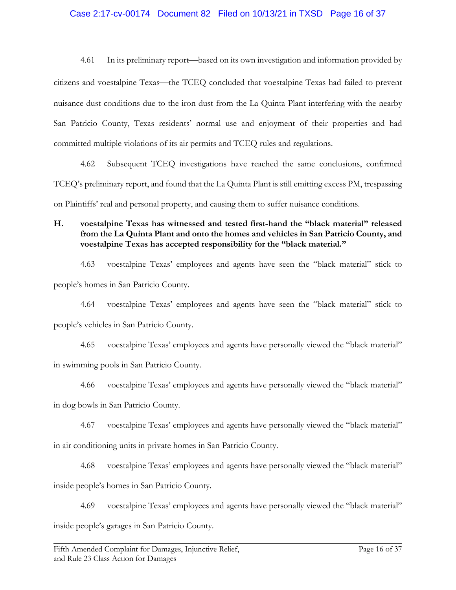## Case 2:17-cv-00174 Document 82 Filed on 10/13/21 in TXSD Page 16 of 37

4.61 In its preliminary report—based on its own investigation and information provided by citizens and voestalpine Texas—the TCEQ concluded that voestalpine Texas had failed to prevent nuisance dust conditions due to the iron dust from the La Quinta Plant interfering with the nearby San Patricio County, Texas residents' normal use and enjoyment of their properties and had committed multiple violations of its air permits and TCEQ rules and regulations.

4.62 Subsequent TCEQ investigations have reached the same conclusions, confirmed TCEQ's preliminary report, and found that the La Quinta Plant is still emitting excess PM, trespassing on Plaintiffs' real and personal property, and causing them to suffer nuisance conditions.

# **H. voestalpine Texas has witnessed and tested first-hand the "black material" released from the La Quinta Plant and onto the homes and vehicles in San Patricio County, and voestalpine Texas has accepted responsibility for the "black material."**

4.63 voestalpine Texas' employees and agents have seen the "black material" stick to people's homes in San Patricio County.

4.64 voestalpine Texas' employees and agents have seen the "black material" stick to people's vehicles in San Patricio County.

4.65 voestalpine Texas' employees and agents have personally viewed the "black material" in swimming pools in San Patricio County.

4.66 voestalpine Texas' employees and agents have personally viewed the "black material" in dog bowls in San Patricio County.

4.67 voestalpine Texas' employees and agents have personally viewed the "black material" in air conditioning units in private homes in San Patricio County.

4.68 voestalpine Texas' employees and agents have personally viewed the "black material" inside people's homes in San Patricio County.

4.69 voestalpine Texas' employees and agents have personally viewed the "black material" inside people's garages in San Patricio County.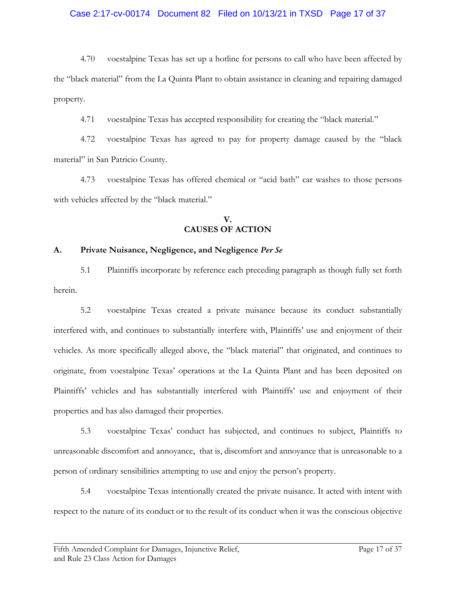## Case 2:17-cv-00174 Document 82 Filed on 10/13/21 in TXSD Page 17 of 37

4.70 voestalpine Texas has set up a hotline for persons to call who have been affected by the "black material" from the La Quinta Plant to obtain assistance in cleaning and repairing damaged property.

4.71 voestalpine Texas has accepted responsibility for creating the "black material."

4.72 voestalpine Texas has agreed to pay for property damage caused by the "black material" in San Patricio County.

4.73 voestalpine Texas has offered chemical or "acid bath" car washes to those persons with vehicles affected by the "black material."

# **V. CAUSES OF ACTION**

## **A. Private Nuisance, Negligence, and Negligence** *Per Se*

5.1 Plaintiffs incorporate by reference each preceding paragraph as though fully set forth herein.

5.2 voestalpine Texas created a private nuisance because its conduct substantially interfered with, and continues to substantially interfere with, Plaintiffs' use and enjoyment of their vehicles. As more specifically alleged above, the "black material" that originated, and continues to originate, from voestalpine Texas' operations at the La Quinta Plant and has been deposited on Plaintiffs' vehicles and has substantially interfered with Plaintiffs' use and enjoyment of their properties and has also damaged their properties.

5.3 voestalpine Texas' conduct has subjected, and continues to subject, Plaintiffs to unreasonable discomfort and annoyance, that is, discomfort and annoyance that is unreasonable to a person of ordinary sensibilities attempting to use and enjoy the person's property.

5.4 voestalpine Texas intentionally created the private nuisance. It acted with intent with respect to the nature of its conduct or to the result of its conduct when it was the conscious objective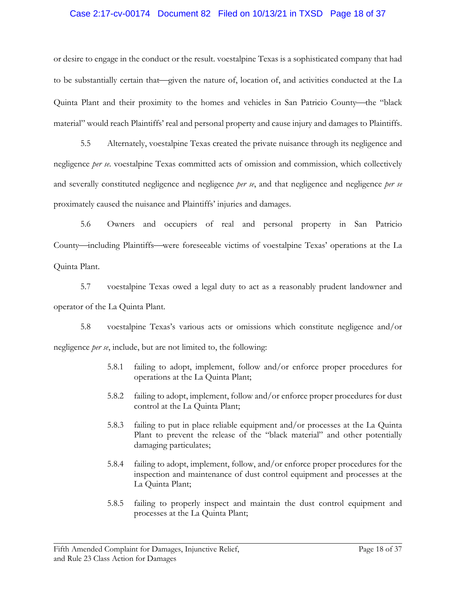### Case 2:17-cv-00174 Document 82 Filed on 10/13/21 in TXSD Page 18 of 37

or desire to engage in the conduct or the result. voestalpine Texas is a sophisticated company that had to be substantially certain that—given the nature of, location of, and activities conducted at the La Quinta Plant and their proximity to the homes and vehicles in San Patricio County—the "black material" would reach Plaintiffs' real and personal property and cause injury and damages to Plaintiffs.

5.5 Alternately, voestalpine Texas created the private nuisance through its negligence and negligence *per se*. voestalpine Texas committed acts of omission and commission, which collectively and severally constituted negligence and negligence *per se*, and that negligence and negligence *per se* proximately caused the nuisance and Plaintiffs' injuries and damages.

5.6 Owners and occupiers of real and personal property in San Patricio County—including Plaintiffs—were foreseeable victims of voestalpine Texas' operations at the La Quinta Plant.

5.7 voestalpine Texas owed a legal duty to act as a reasonably prudent landowner and operator of the La Quinta Plant.

5.8 voestalpine Texas's various acts or omissions which constitute negligence and/or negligence *per se*, include, but are not limited to, the following:

- 5.8.1 failing to adopt, implement, follow and/or enforce proper procedures for operations at the La Quinta Plant;
- 5.8.2 failing to adopt, implement, follow and/or enforce proper procedures for dust control at the La Quinta Plant;
- 5.8.3 failing to put in place reliable equipment and/or processes at the La Quinta Plant to prevent the release of the "black material" and other potentially damaging particulates;
- 5.8.4 failing to adopt, implement, follow, and/or enforce proper procedures for the inspection and maintenance of dust control equipment and processes at the La Quinta Plant;
- 5.8.5 failing to properly inspect and maintain the dust control equipment and processes at the La Quinta Plant;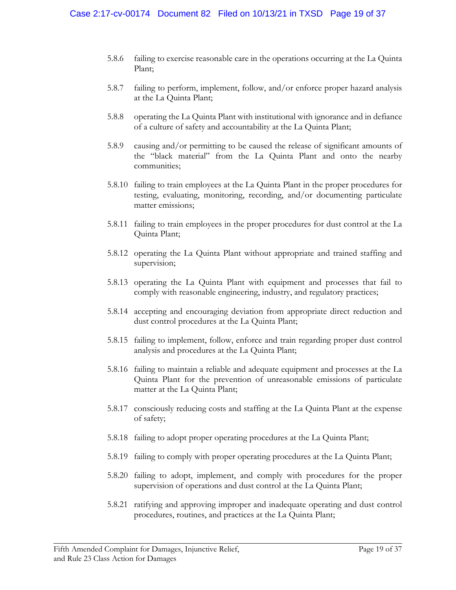- 5.8.6 failing to exercise reasonable care in the operations occurring at the La Quinta Plant;
- 5.8.7 failing to perform, implement, follow, and/or enforce proper hazard analysis at the La Quinta Plant;
- 5.8.8 operating the La Quinta Plant with institutional with ignorance and in defiance of a culture of safety and accountability at the La Quinta Plant;
- 5.8.9 causing and/or permitting to be caused the release of significant amounts of the "black material" from the La Quinta Plant and onto the nearby communities;
- 5.8.10 failing to train employees at the La Quinta Plant in the proper procedures for testing, evaluating, monitoring, recording, and/or documenting particulate matter emissions;
- 5.8.11 failing to train employees in the proper procedures for dust control at the La Quinta Plant;
- 5.8.12 operating the La Quinta Plant without appropriate and trained staffing and supervision;
- 5.8.13 operating the La Quinta Plant with equipment and processes that fail to comply with reasonable engineering, industry, and regulatory practices;
- 5.8.14 accepting and encouraging deviation from appropriate direct reduction and dust control procedures at the La Quinta Plant;
- 5.8.15 failing to implement, follow, enforce and train regarding proper dust control analysis and procedures at the La Quinta Plant;
- 5.8.16 failing to maintain a reliable and adequate equipment and processes at the La Quinta Plant for the prevention of unreasonable emissions of particulate matter at the La Quinta Plant;
- 5.8.17 consciously reducing costs and staffing at the La Quinta Plant at the expense of safety;
- 5.8.18 failing to adopt proper operating procedures at the La Quinta Plant;
- 5.8.19 failing to comply with proper operating procedures at the La Quinta Plant;
- 5.8.20 failing to adopt, implement, and comply with procedures for the proper supervision of operations and dust control at the La Quinta Plant;
- 5.8.21 ratifying and approving improper and inadequate operating and dust control procedures, routines, and practices at the La Quinta Plant;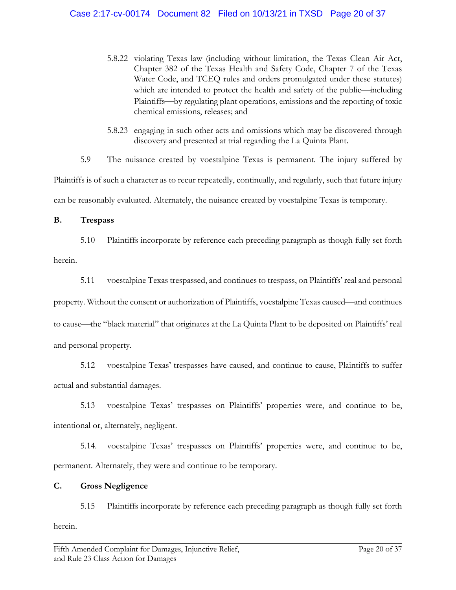- 5.8.22 violating Texas law (including without limitation, the Texas Clean Air Act, Chapter 382 of the Texas Health and Safety Code, Chapter 7 of the Texas Water Code, and TCEQ rules and orders promulgated under these statutes) which are intended to protect the health and safety of the public—including Plaintiffs—by regulating plant operations, emissions and the reporting of toxic chemical emissions, releases; and
- 5.8.23 engaging in such other acts and omissions which may be discovered through discovery and presented at trial regarding the La Quinta Plant.

5.9 The nuisance created by voestalpine Texas is permanent. The injury suffered by

Plaintiffs is of such a character as to recur repeatedly, continually, and regularly, such that future injury can be reasonably evaluated. Alternately, the nuisance created by voestalpine Texas is temporary.

# **B. Trespass**

5.10 Plaintiffs incorporate by reference each preceding paragraph as though fully set forth herein.

5.11 voestalpine Texas trespassed, and continues to trespass, on Plaintiffs' real and personal property. Without the consent or authorization of Plaintiffs, voestalpine Texas caused—and continues to cause—the "black material" that originates at the La Quinta Plant to be deposited on Plaintiffs' real and personal property.

5.12 voestalpine Texas' trespasses have caused, and continue to cause, Plaintiffs to suffer actual and substantial damages.

5.13 voestalpine Texas' trespasses on Plaintiffs' properties were, and continue to be, intentional or, alternately, negligent.

5.14. voestalpine Texas' trespasses on Plaintiffs' properties were, and continue to be, permanent. Alternately, they were and continue to be temporary.

# **C. Gross Negligence**

5.15 Plaintiffs incorporate by reference each preceding paragraph as though fully set forth herein.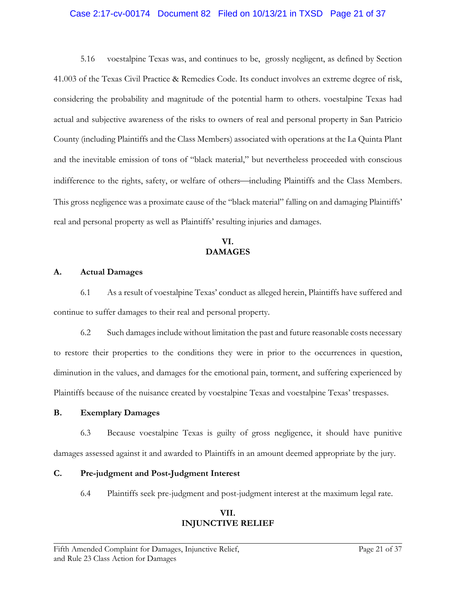## Case 2:17-cv-00174 Document 82 Filed on 10/13/21 in TXSD Page 21 of 37

5.16 voestalpine Texas was, and continues to be, grossly negligent, as defined by Section 41.003 of the Texas Civil Practice & Remedies Code. Its conduct involves an extreme degree of risk, considering the probability and magnitude of the potential harm to others. voestalpine Texas had actual and subjective awareness of the risks to owners of real and personal property in San Patricio County (including Plaintiffs and the Class Members) associated with operations at the La Quinta Plant and the inevitable emission of tons of "black material," but nevertheless proceeded with conscious indifference to the rights, safety, or welfare of others—including Plaintiffs and the Class Members. This gross negligence was a proximate cause of the "black material" falling on and damaging Plaintiffs' real and personal property as well as Plaintiffs' resulting injuries and damages.

# **VI. DAMAGES**

### **A. Actual Damages**

6.1 As a result of voestalpine Texas' conduct as alleged herein, Plaintiffs have suffered and continue to suffer damages to their real and personal property.

6.2 Such damages include without limitation the past and future reasonable costs necessary to restore their properties to the conditions they were in prior to the occurrences in question, diminution in the values, and damages for the emotional pain, torment, and suffering experienced by Plaintiffs because of the nuisance created by voestalpine Texas and voestalpine Texas' trespasses.

### **B. Exemplary Damages**

6.3 Because voestalpine Texas is guilty of gross negligence, it should have punitive damages assessed against it and awarded to Plaintiffs in an amount deemed appropriate by the jury.

## **C. Pre-judgment and Post-Judgment Interest**

6.4 Plaintiffs seek pre-judgment and post-judgment interest at the maximum legal rate.

## **VII. INJUNCTIVE RELIEF**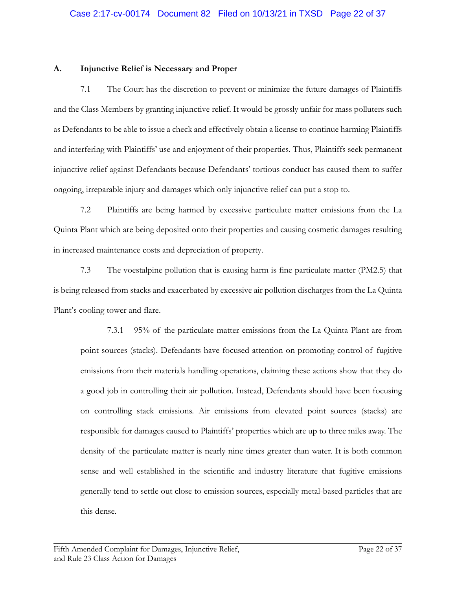### **A. Injunctive Relief is Necessary and Proper**

7.1 The Court has the discretion to prevent or minimize the future damages of Plaintiffs and the Class Members by granting injunctive relief. It would be grossly unfair for mass polluters such as Defendants to be able to issue a check and effectively obtain a license to continue harming Plaintiffs and interfering with Plaintiffs' use and enjoyment of their properties. Thus, Plaintiffs seek permanent injunctive relief against Defendants because Defendants' tortious conduct has caused them to suffer ongoing, irreparable injury and damages which only injunctive relief can put a stop to.

7.2 Plaintiffs are being harmed by excessive particulate matter emissions from the La Quinta Plant which are being deposited onto their properties and causing cosmetic damages resulting in increased maintenance costs and depreciation of property.

7.3 The voestalpine pollution that is causing harm is fine particulate matter (PM2.5) that is being released from stacks and exacerbated by excessive air pollution discharges from the La Quinta Plant's cooling tower and flare.

7.3.1 95% of the particulate matter emissions from the La Quinta Plant are from point sources (stacks). Defendants have focused attention on promoting control of fugitive emissions from their materials handling operations, claiming these actions show that they do a good job in controlling their air pollution. Instead, Defendants should have been focusing on controlling stack emissions. Air emissions from elevated point sources (stacks) are responsible for damages caused to Plaintiffs' properties which are up to three miles away. The density of the particulate matter is nearly nine times greater than water. It is both common sense and well established in the scientific and industry literature that fugitive emissions generally tend to settle out close to emission sources, especially metal-based particles that are this dense.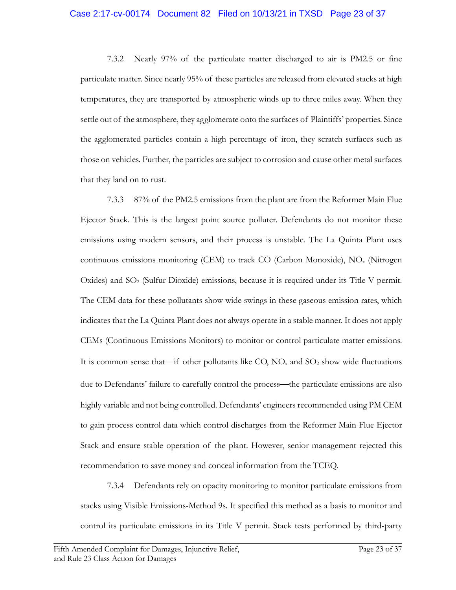### Case 2:17-cv-00174 Document 82 Filed on 10/13/21 in TXSD Page 23 of 37

7.3.2 Nearly 97% of the particulate matter discharged to air is PM2.5 or fine particulate matter. Since nearly 95% of these particles are released from elevated stacks at high temperatures, they are transported by atmospheric winds up to three miles away. When they settle out of the atmosphere, they agglomerate onto the surfaces of Plaintiffs' properties. Since the agglomerated particles contain a high percentage of iron, they scratch surfaces such as those on vehicles. Further, the particles are subject to corrosion and cause other metal surfaces that they land on to rust.

7.3.3 87% of the PM2.5 emissions from the plant are from the Reformer Main Flue Ejector Stack. This is the largest point source polluter. Defendants do not monitor these emissions using modern sensors, and their process is unstable. The La Quinta Plant uses continuous emissions monitoring (CEM) to track CO (Carbon Monoxide),  $NO<sub>x</sub>$  (Nitrogen Oxides) and  $SO<sub>2</sub>$  (Sulfur Dioxide) emissions, because it is required under its Title V permit. The CEM data for these pollutants show wide swings in these gaseous emission rates, which indicates that the La Quinta Plant does not always operate in a stable manner. It does not apply CEMs (Continuous Emissions Monitors) to monitor or control particulate matter emissions. It is common sense that—if other pollutants like  $CO$ ,  $NO<sub>x</sub>$  and  $SO<sub>2</sub>$  show wide fluctuations due to Defendants' failure to carefully control the process—the particulate emissions are also highly variable and not being controlled. Defendants' engineers recommended using PM CEM to gain process control data which control discharges from the Reformer Main Flue Ejector Stack and ensure stable operation of the plant. However, senior management rejected this recommendation to save money and conceal information from the TCEQ.

7.3.4 Defendants rely on opacity monitoring to monitor particulate emissions from stacks using Visible Emissions-Method 9s. It specified this method as a basis to monitor and control its particulate emissions in its Title V permit. Stack tests performed by third-party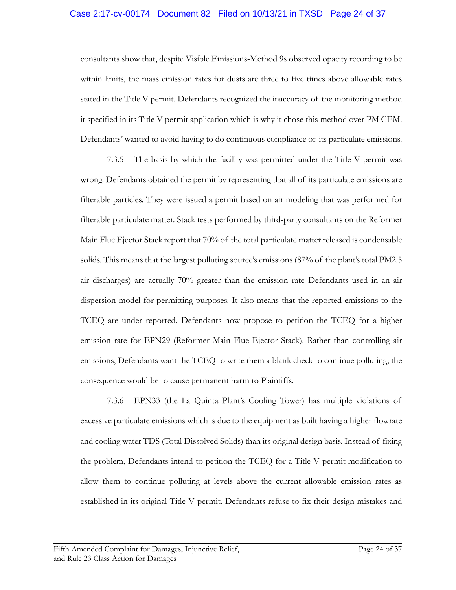## Case 2:17-cv-00174 Document 82 Filed on 10/13/21 in TXSD Page 24 of 37

consultants show that, despite Visible Emissions-Method 9s observed opacity recording to be within limits, the mass emission rates for dusts are three to five times above allowable rates stated in the Title V permit. Defendants recognized the inaccuracy of the monitoring method it specified in its Title V permit application which is why it chose this method over PM CEM. Defendants' wanted to avoid having to do continuous compliance of its particulate emissions.

7.3.5 The basis by which the facility was permitted under the Title V permit was wrong. Defendants obtained the permit by representing that all of its particulate emissions are filterable particles. They were issued a permit based on air modeling that was performed for filterable particulate matter. Stack tests performed by third-party consultants on the Reformer Main Flue Ejector Stack report that 70% of the total particulate matter released is condensable solids. This means that the largest polluting source's emissions (87% of the plant's total PM2.5 air discharges) are actually 70% greater than the emission rate Defendants used in an air dispersion model for permitting purposes. It also means that the reported emissions to the TCEQ are under reported. Defendants now propose to petition the TCEQ for a higher emission rate for EPN29 (Reformer Main Flue Ejector Stack). Rather than controlling air emissions, Defendants want the TCEQ to write them a blank check to continue polluting; the consequence would be to cause permanent harm to Plaintiffs.

7.3.6 EPN33 (the La Quinta Plant's Cooling Tower) has multiple violations of excessive particulate emissions which is due to the equipment as built having a higher flowrate and cooling water TDS (Total Dissolved Solids) than its original design basis. Instead of fixing the problem, Defendants intend to petition the TCEQ for a Title V permit modification to allow them to continue polluting at levels above the current allowable emission rates as established in its original Title V permit. Defendants refuse to fix their design mistakes and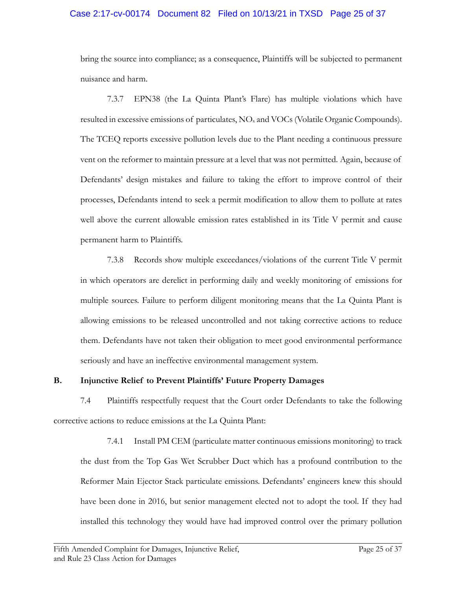## Case 2:17-cv-00174 Document 82 Filed on 10/13/21 in TXSD Page 25 of 37

bring the source into compliance; as a consequence, Plaintiffs will be subjected to permanent nuisance and harm.

7.3.7 EPN38 (the La Quinta Plant's Flare) has multiple violations which have resulted in excessive emissions of particulates, NO<sub>x</sub> and VOCs (Volatile Organic Compounds). The TCEQ reports excessive pollution levels due to the Plant needing a continuous pressure vent on the reformer to maintain pressure at a level that was not permitted. Again, because of Defendants' design mistakes and failure to taking the effort to improve control of their processes, Defendants intend to seek a permit modification to allow them to pollute at rates well above the current allowable emission rates established in its Title V permit and cause permanent harm to Plaintiffs.

7.3.8 Records show multiple exceedances/violations of the current Title V permit in which operators are derelict in performing daily and weekly monitoring of emissions for multiple sources. Failure to perform diligent monitoring means that the La Quinta Plant is allowing emissions to be released uncontrolled and not taking corrective actions to reduce them. Defendants have not taken their obligation to meet good environmental performance seriously and have an ineffective environmental management system.

# **B. Injunctive Relief to Prevent Plaintiffs' Future Property Damages**

7.4 Plaintiffs respectfully request that the Court order Defendants to take the following corrective actions to reduce emissions at the La Quinta Plant:

7.4.1 Install PM CEM (particulate matter continuous emissions monitoring) to track the dust from the Top Gas Wet Scrubber Duct which has a profound contribution to the Reformer Main Ejector Stack particulate emissions. Defendants' engineers knew this should have been done in 2016, but senior management elected not to adopt the tool. If they had installed this technology they would have had improved control over the primary pollution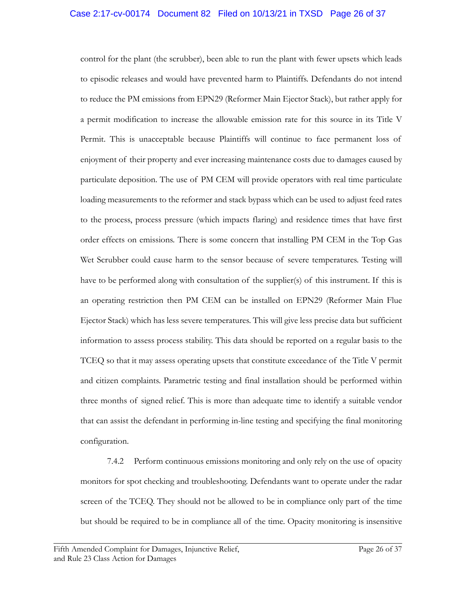control for the plant (the scrubber), been able to run the plant with fewer upsets which leads to episodic releases and would have prevented harm to Plaintiffs. Defendants do not intend to reduce the PM emissions from EPN29 (Reformer Main Ejector Stack), but rather apply for a permit modification to increase the allowable emission rate for this source in its Title V Permit. This is unacceptable because Plaintiffs will continue to face permanent loss of enjoyment of their property and ever increasing maintenance costs due to damages caused by particulate deposition. The use of PM CEM will provide operators with real time particulate loading measurements to the reformer and stack bypass which can be used to adjust feed rates to the process, process pressure (which impacts flaring) and residence times that have first order effects on emissions. There is some concern that installing PM CEM in the Top Gas Wet Scrubber could cause harm to the sensor because of severe temperatures. Testing will have to be performed along with consultation of the supplier(s) of this instrument. If this is an operating restriction then PM CEM can be installed on EPN29 (Reformer Main Flue Ejector Stack) which has less severe temperatures. This will give less precise data but sufficient information to assess process stability. This data should be reported on a regular basis to the TCEQ so that it may assess operating upsets that constitute exceedance of the Title V permit and citizen complaints. Parametric testing and final installation should be performed within three months of signed relief. This is more than adequate time to identify a suitable vendor that can assist the defendant in performing in-line testing and specifying the final monitoring configuration.

7.4.2 Perform continuous emissions monitoring and only rely on the use of opacity monitors for spot checking and troubleshooting. Defendants want to operate under the radar screen of the TCEQ. They should not be allowed to be in compliance only part of the time but should be required to be in compliance all of the time. Opacity monitoring is insensitive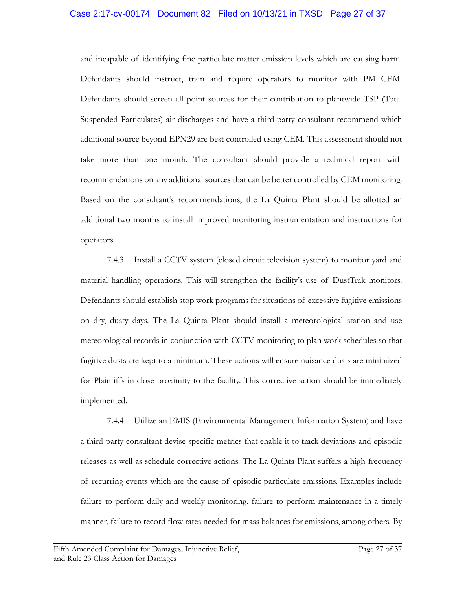### Case 2:17-cv-00174 Document 82 Filed on 10/13/21 in TXSD Page 27 of 37

and incapable of identifying fine particulate matter emission levels which are causing harm. Defendants should instruct, train and require operators to monitor with PM CEM. Defendants should screen all point sources for their contribution to plantwide TSP (Total Suspended Particulates) air discharges and have a third-party consultant recommend which additional source beyond EPN29 are best controlled using CEM. This assessment should not take more than one month. The consultant should provide a technical report with recommendations on any additional sources that can be better controlled by CEM monitoring. Based on the consultant's recommendations, the La Quinta Plant should be allotted an additional two months to install improved monitoring instrumentation and instructions for operators.

7.4.3 Install a CCTV system (closed circuit television system) to monitor yard and material handling operations. This will strengthen the facility's use of DustTrak monitors. Defendants should establish stop work programs for situations of excessive fugitive emissions on dry, dusty days. The La Quinta Plant should install a meteorological station and use meteorological records in conjunction with CCTV monitoring to plan work schedules so that fugitive dusts are kept to a minimum. These actions will ensure nuisance dusts are minimized for Plaintiffs in close proximity to the facility. This corrective action should be immediately implemented.

7.4.4 Utilize an EMIS (Environmental Management Information System) and have a third-party consultant devise specific metrics that enable it to track deviations and episodic releases as well as schedule corrective actions. The La Quinta Plant suffers a high frequency of recurring events which are the cause of episodic particulate emissions. Examples include failure to perform daily and weekly monitoring, failure to perform maintenance in a timely manner, failure to record flow rates needed for mass balances for emissions, among others. By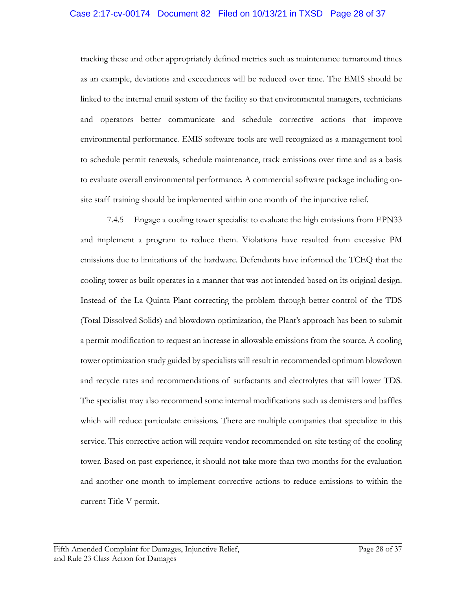## Case 2:17-cv-00174 Document 82 Filed on 10/13/21 in TXSD Page 28 of 37

tracking these and other appropriately defined metrics such as maintenance turnaround times as an example, deviations and exceedances will be reduced over time. The EMIS should be linked to the internal email system of the facility so that environmental managers, technicians and operators better communicate and schedule corrective actions that improve environmental performance. EMIS software tools are well recognized as a management tool to schedule permit renewals, schedule maintenance, track emissions over time and as a basis to evaluate overall environmental performance. A commercial software package including onsite staff training should be implemented within one month of the injunctive relief.

7.4.5 Engage a cooling tower specialist to evaluate the high emissions from EPN33 and implement a program to reduce them. Violations have resulted from excessive PM emissions due to limitations of the hardware. Defendants have informed the TCEQ that the cooling tower as built operates in a manner that was not intended based on its original design. Instead of the La Quinta Plant correcting the problem through better control of the TDS (Total Dissolved Solids) and blowdown optimization, the Plant's approach has been to submit a permit modification to request an increase in allowable emissions from the source. A cooling tower optimization study guided by specialists will result in recommended optimum blowdown and recycle rates and recommendations of surfactants and electrolytes that will lower TDS. The specialist may also recommend some internal modifications such as demisters and baffles which will reduce particulate emissions. There are multiple companies that specialize in this service. This corrective action will require vendor recommended on-site testing of the cooling tower. Based on past experience, it should not take more than two months for the evaluation and another one month to implement corrective actions to reduce emissions to within the current Title V permit.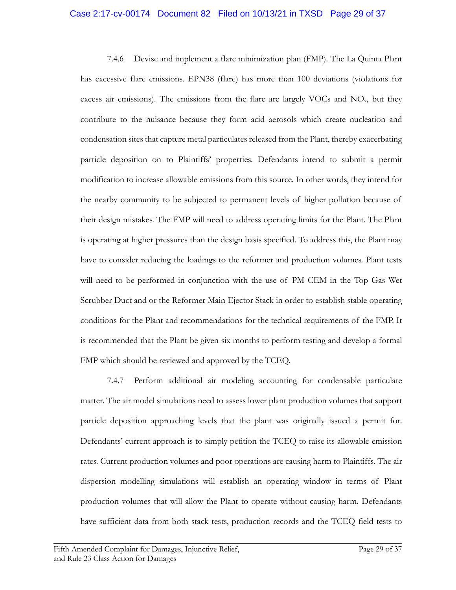### Case 2:17-cv-00174 Document 82 Filed on 10/13/21 in TXSD Page 29 of 37

7.4.6 Devise and implement a flare minimization plan (FMP). The La Quinta Plant has excessive flare emissions. EPN38 (flare) has more than 100 deviations (violations for excess air emissions). The emissions from the flare are largely VOCs and  $NO<sub>x</sub>$ , but they contribute to the nuisance because they form acid aerosols which create nucleation and condensation sites that capture metal particulates released from the Plant, thereby exacerbating particle deposition on to Plaintiffs' properties. Defendants intend to submit a permit modification to increase allowable emissions from this source. In other words, they intend for the nearby community to be subjected to permanent levels of higher pollution because of their design mistakes. The FMP will need to address operating limits for the Plant. The Plant is operating at higher pressures than the design basis specified. To address this, the Plant may have to consider reducing the loadings to the reformer and production volumes. Plant tests will need to be performed in conjunction with the use of PM CEM in the Top Gas Wet Scrubber Duct and or the Reformer Main Ejector Stack in order to establish stable operating conditions for the Plant and recommendations for the technical requirements of the FMP. It is recommended that the Plant be given six months to perform testing and develop a formal FMP which should be reviewed and approved by the TCEQ.

7.4.7 Perform additional air modeling accounting for condensable particulate matter. The air model simulations need to assess lower plant production volumes that support particle deposition approaching levels that the plant was originally issued a permit for. Defendants' current approach is to simply petition the TCEQ to raise its allowable emission rates. Current production volumes and poor operations are causing harm to Plaintiffs. The air dispersion modelling simulations will establish an operating window in terms of Plant production volumes that will allow the Plant to operate without causing harm. Defendants have sufficient data from both stack tests, production records and the TCEQ field tests to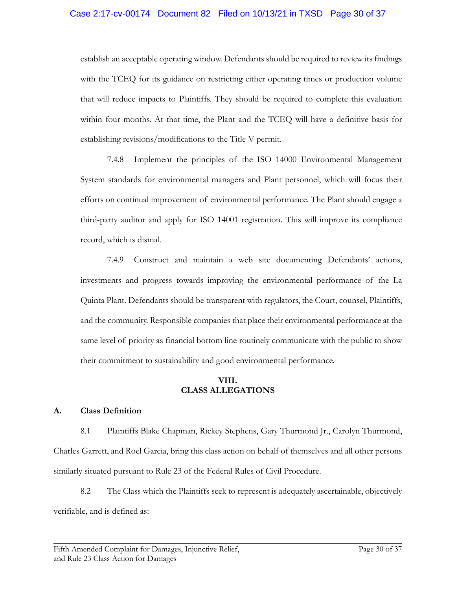## Case 2:17-cv-00174 Document 82 Filed on 10/13/21 in TXSD Page 30 of 37

establish an acceptable operating window. Defendants should be required to review its findings with the TCEQ for its guidance on restricting either operating times or production volume that will reduce impacts to Plaintiffs. They should be required to complete this evaluation within four months. At that time, the Plant and the TCEQ will have a definitive basis for establishing revisions/modifications to the Title V permit.

7.4.8 Implement the principles of the ISO 14000 Environmental Management System standards for environmental managers and Plant personnel, which will focus their efforts on continual improvement of environmental performance. The Plant should engage a third-party auditor and apply for ISO 14001 registration. This will improve its compliance record, which is dismal.

7.4.9 Construct and maintain a web site documenting Defendants' actions, investments and progress towards improving the environmental performance of the La Quinta Plant. Defendants should be transparent with regulators, the Court, counsel, Plaintiffs, and the community. Responsible companies that place their environmental performance at the same level of priority as financial bottom line routinely communicate with the public to show their commitment to sustainability and good environmental performance.

## **VIII. CLASS ALLEGATIONS**

#### **A. Class Definition**

8.1 Plaintiffs Blake Chapman, Rickey Stephens, Gary Thurmond Jr., Carolyn Thurmond, Charles Garrett, and Roel Garcia, bring this class action on behalf of themselves and all other persons similarly situated pursuant to Rule 23 of the Federal Rules of Civil Procedure.

8.2 The Class which the Plaintiffs seek to represent is adequately ascertainable, objectively verifiable, and is defined as: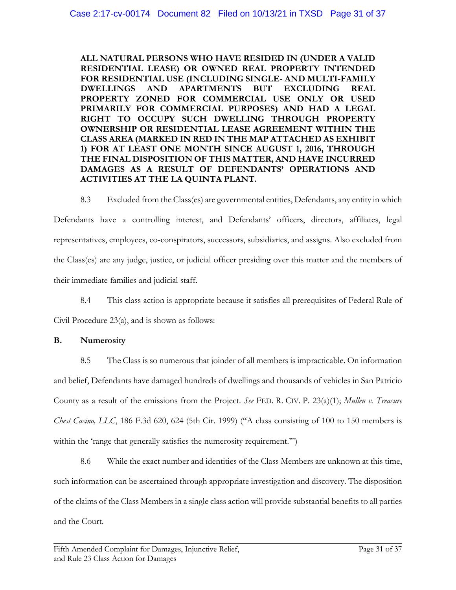**ALL NATURAL PERSONS WHO HAVE RESIDED IN (UNDER A VALID RESIDENTIAL LEASE) OR OWNED REAL PROPERTY INTENDED FOR RESIDENTIAL USE (INCLUDING SINGLE- AND MULTI-FAMILY DWELLINGS AND APARTMENTS BUT EXCLUDING REAL PROPERTY ZONED FOR COMMERCIAL USE ONLY OR USED PRIMARILY FOR COMMERCIAL PURPOSES) AND HAD A LEGAL RIGHT TO OCCUPY SUCH DWELLING THROUGH PROPERTY OWNERSHIP OR RESIDENTIAL LEASE AGREEMENT WITHIN THE CLASS AREA (MARKED IN RED IN THE MAP ATTACHED AS EXHIBIT 1) FOR AT LEAST ONE MONTH SINCE AUGUST 1, 2016, THROUGH THE FINAL DISPOSITION OF THIS MATTER, AND HAVE INCURRED DAMAGES AS A RESULT OF DEFENDANTS' OPERATIONS AND ACTIVITIES AT THE LA QUINTA PLANT.**

8.3 Excluded from the Class(es) are governmental entities, Defendants, any entity in which Defendants have a controlling interest, and Defendants' officers, directors, affiliates, legal representatives, employees, co-conspirators, successors, subsidiaries, and assigns. Also excluded from the Class(es) are any judge, justice, or judicial officer presiding over this matter and the members of their immediate families and judicial staff.

8.4 This class action is appropriate because it satisfies all prerequisites of Federal Rule of Civil Procedure 23(a), and is shown as follows:

## **B. Numerosity**

8.5 The Class is so numerous that joinder of all members is impracticable. On information and belief, Defendants have damaged hundreds of dwellings and thousands of vehicles in San Patricio County as a result of the emissions from the Project. *See* FED. R. CIV. P. 23(a)(1); *Mullen v. Treasure Chest Casino, LLC*, 186 F.3d 620, 624 (5th Cir. 1999) ("A class consisting of 100 to 150 members is within the 'range that generally satisfies the numerosity requirement."

8.6 While the exact number and identities of the Class Members are unknown at this time, such information can be ascertained through appropriate investigation and discovery. The disposition of the claims of the Class Members in a single class action will provide substantial benefits to all parties and the Court.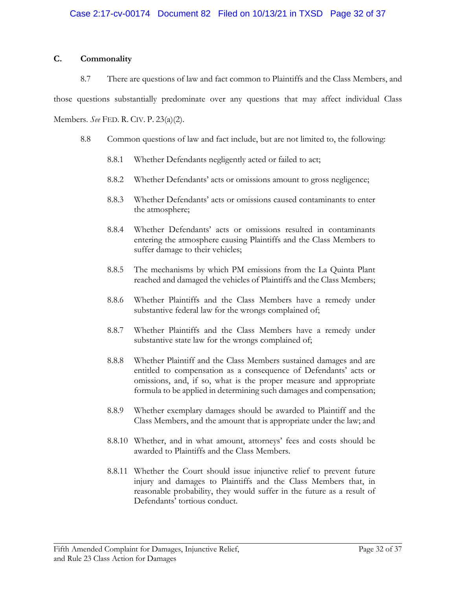## **C. Commonality**

8.7 There are questions of law and fact common to Plaintiffs and the Class Members, and

those questions substantially predominate over any questions that may affect individual Class

Members. *See* FED. R. CIV. P. 23(a)(2).

- 8.8 Common questions of law and fact include, but are not limited to, the following:
	- 8.8.1 Whether Defendants negligently acted or failed to act;
	- 8.8.2 Whether Defendants' acts or omissions amount to gross negligence;
	- 8.8.3 Whether Defendants' acts or omissions caused contaminants to enter the atmosphere;
	- 8.8.4 Whether Defendants' acts or omissions resulted in contaminants entering the atmosphere causing Plaintiffs and the Class Members to suffer damage to their vehicles;
	- 8.8.5 The mechanisms by which PM emissions from the La Quinta Plant reached and damaged the vehicles of Plaintiffs and the Class Members;
	- 8.8.6 Whether Plaintiffs and the Class Members have a remedy under substantive federal law for the wrongs complained of;
	- 8.8.7 Whether Plaintiffs and the Class Members have a remedy under substantive state law for the wrongs complained of;
	- 8.8.8 Whether Plaintiff and the Class Members sustained damages and are entitled to compensation as a consequence of Defendants' acts or omissions, and, if so, what is the proper measure and appropriate formula to be applied in determining such damages and compensation;
	- 8.8.9 Whether exemplary damages should be awarded to Plaintiff and the Class Members, and the amount that is appropriate under the law; and
	- 8.8.10 Whether, and in what amount, attorneys' fees and costs should be awarded to Plaintiffs and the Class Members.
	- 8.8.11 Whether the Court should issue injunctive relief to prevent future injury and damages to Plaintiffs and the Class Members that, in reasonable probability, they would suffer in the future as a result of Defendants' tortious conduct.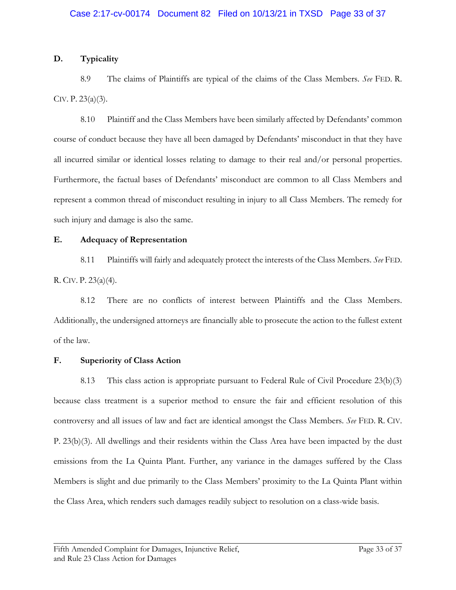# **D. Typicality**

8.9 The claims of Plaintiffs are typical of the claims of the Class Members. *See* FED. R. CIV. P. 23(a)(3).

8.10 Plaintiff and the Class Members have been similarly affected by Defendants' common course of conduct because they have all been damaged by Defendants' misconduct in that they have all incurred similar or identical losses relating to damage to their real and/or personal properties. Furthermore, the factual bases of Defendants' misconduct are common to all Class Members and represent a common thread of misconduct resulting in injury to all Class Members. The remedy for such injury and damage is also the same.

## **E. Adequacy of Representation**

8.11 Plaintiffs will fairly and adequately protect the interests of the Class Members. *See* FED. R. CIV. P. 23(a)(4).

8.12 There are no conflicts of interest between Plaintiffs and the Class Members. Additionally, the undersigned attorneys are financially able to prosecute the action to the fullest extent of the law.

# **F. Superiority of Class Action**

8.13 This class action is appropriate pursuant to Federal Rule of Civil Procedure 23(b)(3) because class treatment is a superior method to ensure the fair and efficient resolution of this controversy and all issues of law and fact are identical amongst the Class Members. *See* FED. R. CIV. P. 23(b)(3). All dwellings and their residents within the Class Area have been impacted by the dust emissions from the La Quinta Plant. Further, any variance in the damages suffered by the Class Members is slight and due primarily to the Class Members' proximity to the La Quinta Plant within the Class Area, which renders such damages readily subject to resolution on a class-wide basis.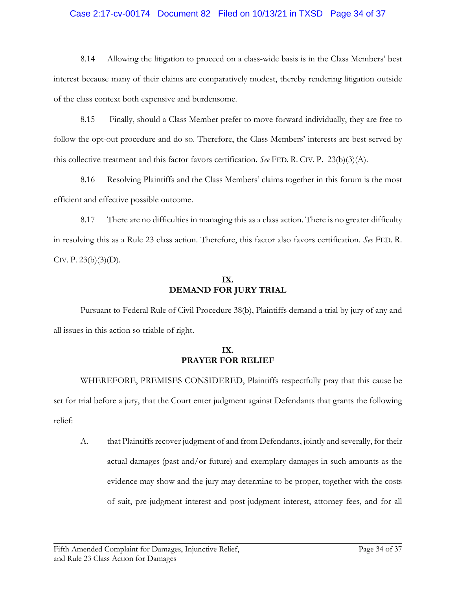### Case 2:17-cv-00174 Document 82 Filed on 10/13/21 in TXSD Page 34 of 37

8.14 Allowing the litigation to proceed on a class-wide basis is in the Class Members' best interest because many of their claims are comparatively modest, thereby rendering litigation outside of the class context both expensive and burdensome.

8.15 Finally, should a Class Member prefer to move forward individually, they are free to follow the opt-out procedure and do so. Therefore, the Class Members' interests are best served by this collective treatment and this factor favors certification. *See* FED. R. CIV. P. 23(b)(3)(A).

8.16 Resolving Plaintiffs and the Class Members' claims together in this forum is the most efficient and effective possible outcome.

8.17 There are no difficulties in managing this as a class action. There is no greater difficulty in resolving this as a Rule 23 class action. Therefore, this factor also favors certification. *See* FED. R. CIV. P.  $23(b)(3)(D)$ .

# **IX. DEMAND FOR JURY TRIAL**

Pursuant to Federal Rule of Civil Procedure 38(b), Plaintiffs demand a trial by jury of any and all issues in this action so triable of right.

## **IX. PRAYER FOR RELIEF**

WHEREFORE, PREMISES CONSIDERED, Plaintiffs respectfully pray that this cause be set for trial before a jury, that the Court enter judgment against Defendants that grants the following relief:

A. that Plaintiffs recover judgment of and from Defendants, jointly and severally, for their actual damages (past and/or future) and exemplary damages in such amounts as the evidence may show and the jury may determine to be proper, together with the costs of suit, pre-judgment interest and post-judgment interest, attorney fees, and for all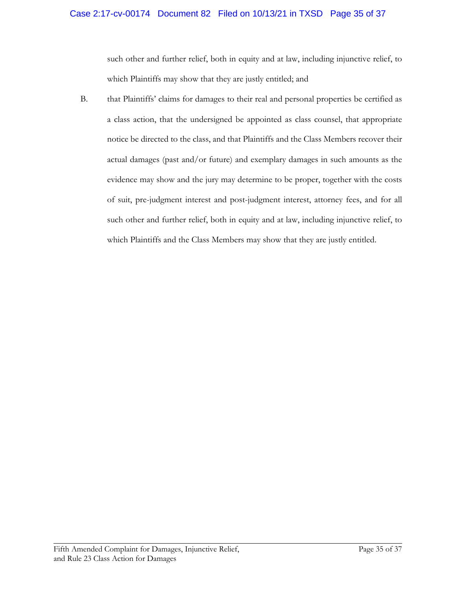## Case 2:17-cv-00174 Document 82 Filed on 10/13/21 in TXSD Page 35 of 37

such other and further relief, both in equity and at law, including injunctive relief, to which Plaintiffs may show that they are justly entitled; and

B. that Plaintiffs' claims for damages to their real and personal properties be certified as a class action, that the undersigned be appointed as class counsel, that appropriate notice be directed to the class, and that Plaintiffs and the Class Members recover their actual damages (past and/or future) and exemplary damages in such amounts as the evidence may show and the jury may determine to be proper, together with the costs of suit, pre-judgment interest and post-judgment interest, attorney fees, and for all such other and further relief, both in equity and at law, including injunctive relief, to which Plaintiffs and the Class Members may show that they are justly entitled.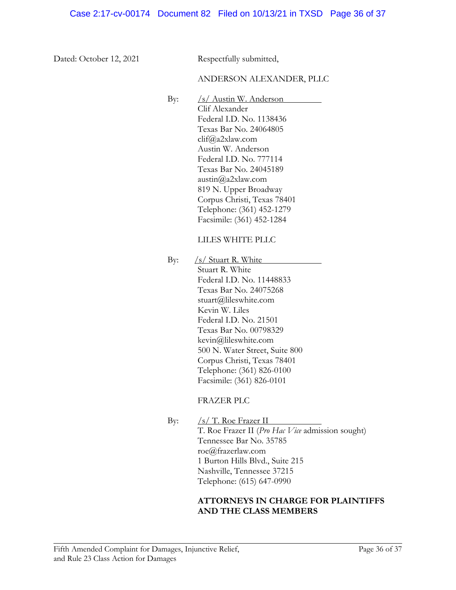Dated: October 12, 2021 Respectfully submitted,

### ANDERSON ALEXANDER, PLLC

By: /s/ Austin W. Anderson Clif Alexander Federal I.D. No. 1138436 Texas Bar No. 24064805 clif@a2xlaw.com Austin W. Anderson Federal I.D. No. 777114 Texas Bar No. 24045189 austin@a2xlaw.com 819 N. Upper Broadway Corpus Christi, Texas 78401 Telephone: (361) 452-1279 Facsimile: (361) 452-1284

LILES WHITE PLLC

By:  $\frac{\sqrt{s}}{\sinh k}$  Stuart R. White Stuart R. White Federal I.D. No. 11448833 Texas Bar No. 24075268 stuart@lileswhite.com Kevin W. Liles Federal I.D. No. 21501 Texas Bar No. 00798329 kevin@lileswhite.com 500 N. Water Street, Suite 800 Corpus Christi, Texas 78401 Telephone: (361) 826-0100 Facsimile: (361) 826-0101

FRAZER PLC

By:  $\frac{\sqrt{s}}{T}$ . Roe Frazer II T. Roe Frazer II (*Pro Hac Vice* admission sought) Tennessee Bar No. 35785 roe@frazerlaw.com 1 Burton Hills Blvd., Suite 215 Nashville, Tennessee 37215 Telephone: (615) 647-0990

# **ATTORNEYS IN CHARGE FOR PLAINTIFFS AND THE CLASS MEMBERS**